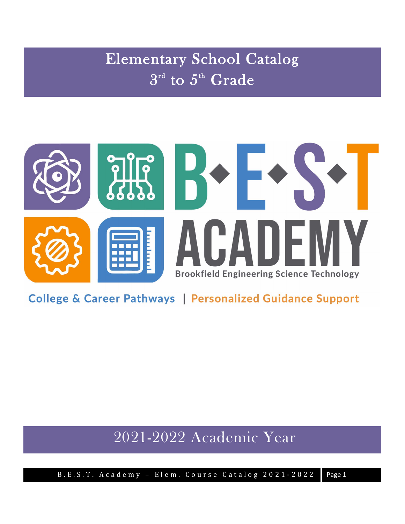Elementary School Catalog  $3^{\scriptscriptstyle \rm rd}$  to  $5^{\scriptscriptstyle \rm th}$  Grade



**College & Career Pathways | Personalized Guidance Support** 

# 2021-2022 Academic Year

B.E.S.T. A cademy - Elem. Course Catalog 2021-2022 | Page 1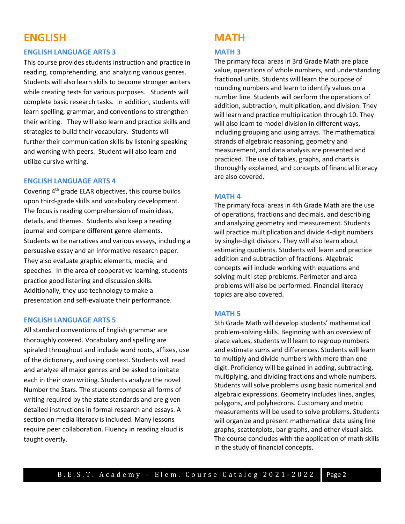## **ENGLISH**

### **ENGLISH LANGUAGE ARTS 3**

This course provides students instruction and practice in reading, comprehending, and analyzing various genres. Students will also learn skills to become stronger writers while creating texts for various purposes. Students will complete basic research tasks. In addition, students will learn spelling, grammar, and conventions to strengthen their writing. They will also learn and practice skills and strategies to build their vocabulary. Students will further their communication skills by listening speaking and working with peers. Student will also learn and utilize cursive writing.

### **ENGLISH LANGUAGE ARTS 4**

Covering 4th grade ELAR objectives, this course builds upon third-grade skills and vocabulary development. The focus is reading comprehension of main ideas, details, and themes. Students also keep a reading journal and compare different genre elements. Students write narratives and various essays, including a persuasive essay and an informative research paper. They also evaluate graphic elements, media, and speeches. In the area of cooperative learning, students practice good listening and discussion skills. Additionally, they use technology to make a presentation and self-evaluate their performance.

### **ENGLISH LANGUAGE ARTS 5**

All standard conventions of English grammar are thoroughly covered. Vocabulary and spelling are spiraled throughout and include word roots, affixes, use of the dictionary, and using context. Students will read and analyze all major genres and be asked to imitate each in their own writing. Students analyze the novel Number the Stars. The students compose all forms of writing required by the state standards and are given detailed instructions in formal research and essays. A section on media literacy is included. Many lessons require peer collaboration. Fluency in reading aloud is taught overtly.

### **MATH**

### **MATH 3**

The primary focal areas in 3rd Grade Math are place value, operations of whole numbers, and understanding fractional units. Students will learn the purpose of rounding numbers and learn to identify values on a number line. Students will perform the operations of addition, subtraction, multiplication, and division. They will learn and practice multiplication through 10. They will also learn to model division in different ways, including grouping and using arrays. The mathematical strands of algebraic reasoning, geometry and measurement, and data analysis are presented and practiced. The use of tables, graphs, and charts is thoroughly explained, and concepts of financial literacy are also covered.

### **MATH 4**

The primary focal areas in 4th Grade Math are the use of operations, fractions and decimals, and describing and analyzing geometry and measurement. Students will practice multiplication and divide 4-digit numbers by single-digit divisors. They will also learn about estimating quotients. Students will learn and practice addition and subtraction of fractions. Algebraic concepts will include working with equations and solving multi-step problems. Perimeter and area problems will also be performed. Financial literacy topics are also covered.

### **MATH 5**

5th Grade Math will develop students' mathematical problem-solving skills. Beginning with an overview of place values, students will learn to regroup numbers and estimate sums and differences. Students will learn to multiply and divide numbers with more than one digit. Proficiency will be gained in adding, subtracting, multiplying, and dividing fractions and whole numbers. Students will solve problems using basic numerical and algebraic expressions. Geometry includes lines, angles, polygons, and polyhedrons. Customary and metric measurements will be used to solve problems. Students will organize and present mathematical data using line graphs, scatterplots, bar graphs, and other visual aids. The course concludes with the application of math skills in the study of financial concepts.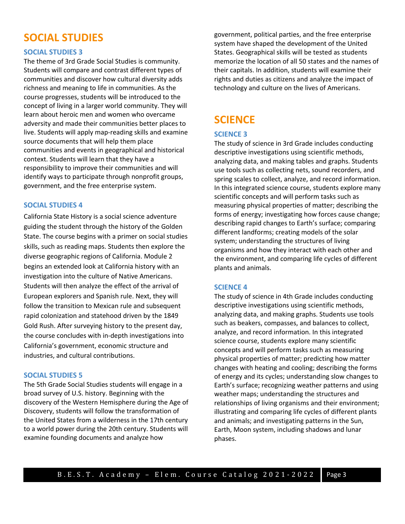## **SOCIAL STUDIES**

### **SOCIAL STUDIES 3**

The theme of 3rd Grade Social Studies is community. Students will compare and contrast different types of communities and discover how cultural diversity adds richness and meaning to life in communities. As the course progresses, students will be introduced to the concept of living in a larger world community. They will learn about heroic men and women who overcame adversity and made their communities better places to live. Students will apply map-reading skills and examine source documents that will help them place communities and events in geographical and historical context. Students will learn that they have a responsibility to improve their communities and will identify ways to participate through nonprofit groups, government, and the free enterprise system.

### **SOCIAL STUDIES 4**

California State History is a social science adventure guiding the student through the history of the Golden State. The course begins with a primer on social studies skills, such as reading maps. Students then explore the diverse geographic regions of California. Module 2 begins an extended look at California history with an investigation into the culture of Native Americans. Students will then analyze the effect of the arrival of European explorers and Spanish rule. Next, they will follow the transition to Mexican rule and subsequent rapid colonization and statehood driven by the 1849 Gold Rush. After surveying history to the present day, the course concludes with in-depth investigations into California's government, economic structure and industries, and cultural contributions.

### **SOCIAL STUDIES 5**

The 5th Grade Social Studies students will engage in a broad survey of U.S. history. Beginning with the discovery of the Western Hemisphere during the Age of Discovery, students will follow the transformation of the United States from a wilderness in the 17th century to a world power during the 20th century. Students will examine founding documents and analyze how

government, political parties, and the free enterprise system have shaped the development of the United States. Geographical skills will be tested as students memorize the location of all 50 states and the names of their capitals. In addition, students will examine their rights and duties as citizens and analyze the impact of technology and culture on the lives of Americans.

## **SCIENCE**

### **SCIENCE 3**

The study of science in 3rd Grade includes conducting descriptive investigations using scientific methods, analyzing data, and making tables and graphs. Students use tools such as collecting nets, sound recorders, and spring scales to collect, analyze, and record information. In this integrated science course, students explore many scientific concepts and will perform tasks such as measuring physical properties of matter; describing the forms of energy; investigating how forces cause change; describing rapid changes to Earth's surface; comparing different landforms; creating models of the solar system; understanding the structures of living organisms and how they interact with each other and the environment, and comparing life cycles of different plants and animals.

### **SCIENCE 4**

The study of science in 4th Grade includes conducting descriptive investigations using scientific methods, analyzing data, and making graphs. Students use tools such as beakers, compasses, and balances to collect, analyze, and record information. In this integrated science course, students explore many scientific concepts and will perform tasks such as measuring physical properties of matter; predicting how matter changes with heating and cooling; describing the forms of energy and its cycles; understanding slow changes to Earth's surface; recognizing weather patterns and using weather maps; understanding the structures and relationships of living organisms and their environment; illustrating and comparing life cycles of different plants and animals; and investigating patterns in the Sun, Earth, Moon system, including shadows and lunar phases.